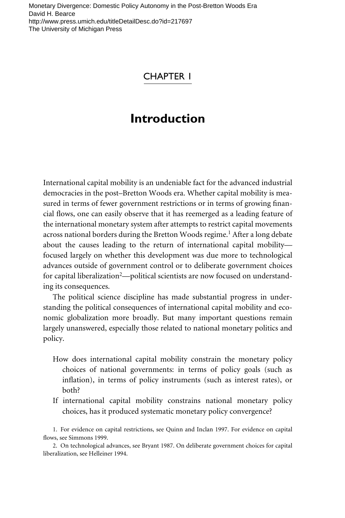# CHAPTER 1

# **Introduction**

International capital mobility is an undeniable fact for the advanced industrial democracies in the post–Bretton Woods era. Whether capital mobility is measured in terms of fewer government restrictions or in terms of growing financial flows, one can easily observe that it has reemerged as a leading feature of the international monetary system after attempts to restrict capital movements across national borders during the Bretton Woods regime.<sup>1</sup> After a long debate about the causes leading to the return of international capital mobility focused largely on whether this development was due more to technological advances outside of government control or to deliberate government choices for capital liberalization<sup>2</sup>—political scientists are now focused on understanding its consequences.

The political science discipline has made substantial progress in understanding the political consequences of international capital mobility and economic globalization more broadly. But many important questions remain largely unanswered, especially those related to national monetary politics and policy.

- How does international capital mobility constrain the monetary policy choices of national governments: in terms of policy goals (such as inflation), in terms of policy instruments (such as interest rates), or both?
- If international capital mobility constrains national monetary policy choices, has it produced systematic monetary policy convergence?

1. For evidence on capital restrictions, see Quinn and Inclan 1997. For evidence on capital flows, see Simmons 1999.

2. On technological advances, see Bryant 1987. On deliberate government choices for capital liberalization, see Helleiner 1994.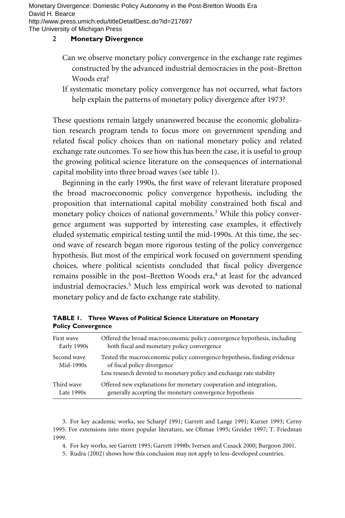## 2 **Monetary Divergence**

- Can we observe monetary policy convergence in the exchange rate regimes constructed by the advanced industrial democracies in the post–Bretton Woods era?
- If systematic monetary policy convergence has not occurred, what factors help explain the patterns of monetary policy divergence after 1973?

These questions remain largely unanswered because the economic globalization research program tends to focus more on government spending and related fiscal policy choices than on national monetary policy and related exchange rate outcomes. To see how this has been the case, it is useful to group the growing political science literature on the consequences of international capital mobility into three broad waves (see table 1).

Beginning in the early 1990s, the first wave of relevant literature proposed the broad macroeconomic policy convergence hypothesis, including the proposition that international capital mobility constrained both fiscal and monetary policy choices of national governments.<sup>3</sup> While this policy convergence argument was supported by interesting case examples, it effectively eluded systematic empirical testing until the mid-1990s. At this time, the second wave of research began more rigorous testing of the policy convergence hypothesis. But most of the empirical work focused on government spending choices, where political scientists concluded that fiscal policy divergence remains possible in the post–Bretton Woods era,<sup>4</sup> at least for the advanced industrial democracies.<sup>5</sup> Much less empirical work was devoted to national monetary policy and de facto exchange rate stability.

| First wave               | Offered the broad macroeconomic policy convergence hypothesis, including                                                                                                        |
|--------------------------|---------------------------------------------------------------------------------------------------------------------------------------------------------------------------------|
| Early 1990s              | both fiscal and monetary policy convergence                                                                                                                                     |
| Second wave<br>Mid-1990s | Tested the macroeconomic policy convergence hypothesis, finding evidence<br>of fiscal policy divergence<br>Less research devoted to monetary policy and exchange rate stability |
| Third wave               | Offered new explanations for monetary cooperation and integration,                                                                                                              |
| Late $1990s$             | generally accepting the monetary convergence hypothesis                                                                                                                         |

**TABLE 1. Three Waves of Political Science Literature on Monetary Policy Convergence**

3. For key academic works, see Scharpf 1991; Garrett and Lange 1991; Kurzer 1993; Cerny 1995. For extensions into more popular literature, see Ohmae 1995; Greider 1997; T. Friedman 1999.

- 4. For key works, see Garrett 1995; Garrett 1998b; Iversen and Cusack 2000; Burgoon 2001.
- 5. Rudra (2002) shows how this conclusion may not apply to less-developed countries.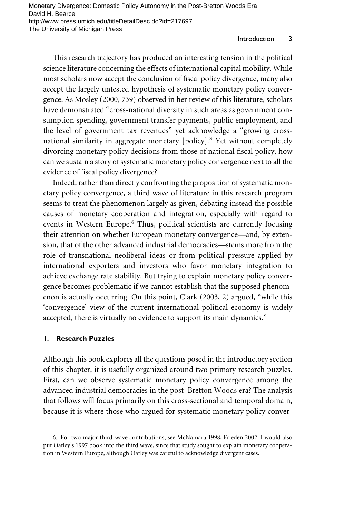### Introduction 3

This research trajectory has produced an interesting tension in the political science literature concerning the effects of international capital mobility. While most scholars now accept the conclusion of fiscal policy divergence, many also accept the largely untested hypothesis of systematic monetary policy convergence. As Mosley (2000, 739) observed in her review of this literature, scholars have demonstrated "cross-national diversity in such areas as government consumption spending, government transfer payments, public employment, and the level of government tax revenues" yet acknowledge a "growing crossnational similarity in aggregate monetary [policy]." Yet without completely divorcing monetary policy decisions from those of national fiscal policy, how can we sustain a story of systematic monetary policy convergence next to all the evidence of fiscal policy divergence?

Indeed, rather than directly confronting the proposition of systematic monetary policy convergence, a third wave of literature in this research program seems to treat the phenomenon largely as given, debating instead the possible causes of monetary cooperation and integration, especially with regard to events in Western Europe.<sup>6</sup> Thus, political scientists are currently focusing their attention on whether European monetary convergence—and, by extension, that of the other advanced industrial democracies—stems more from the role of transnational neoliberal ideas or from political pressure applied by international exporters and investors who favor monetary integration to achieve exchange rate stability. But trying to explain monetary policy convergence becomes problematic if we cannot establish that the supposed phenomenon is actually occurring. On this point, Clark (2003, 2) argued, "while this 'convergence' view of the current international political economy is widely accepted, there is virtually no evidence to support its main dynamics."

#### **1. Research Puzzles**

Although this book explores all the questions posed in the introductory section of this chapter, it is usefully organized around two primary research puzzles. First, can we observe systematic monetary policy convergence among the advanced industrial democracies in the post–Bretton Woods era? The analysis that follows will focus primarily on this cross-sectional and temporal domain, because it is where those who argued for systematic monetary policy conver-

<sup>6.</sup> For two major third-wave contributions, see McNamara 1998; Frieden 2002. I would also put Oatley's 1997 book into the third wave, since that study sought to explain monetary cooperation in Western Europe, although Oatley was careful to acknowledge divergent cases.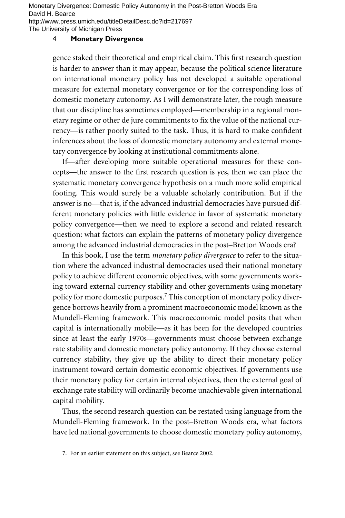## 4 **Monetary Divergence**

gence staked their theoretical and empirical claim. This first research question is harder to answer than it may appear, because the political science literature on international monetary policy has not developed a suitable operational measure for external monetary convergence or for the corresponding loss of domestic monetary autonomy. As I will demonstrate later, the rough measure that our discipline has sometimes employed—membership in a regional monetary regime or other de jure commitments to fix the value of the national currency—is rather poorly suited to the task. Thus, it is hard to make confident inferences about the loss of domestic monetary autonomy and external monetary convergence by looking at institutional commitments alone.

If—after developing more suitable operational measures for these concepts—the answer to the first research question is yes, then we can place the systematic monetary convergence hypothesis on a much more solid empirical footing. This would surely be a valuable scholarly contribution. But if the answer is no—that is, if the advanced industrial democracies have pursued different monetary policies with little evidence in favor of systematic monetary policy convergence—then we need to explore a second and related research question: what factors can explain the patterns of monetary policy divergence among the advanced industrial democracies in the post–Bretton Woods era?

In this book, I use the term *monetary policy divergence* to refer to the situation where the advanced industrial democracies used their national monetary policy to achieve different economic objectives, with some governments working toward external currency stability and other governments using monetary policy for more domestic purposes.<sup>7</sup> This conception of monetary policy divergence borrows heavily from a prominent macroeconomic model known as the Mundell-Fleming framework. This macroeconomic model posits that when capital is internationally mobile—as it has been for the developed countries since at least the early 1970s—governments must choose between exchange rate stability and domestic monetary policy autonomy. If they choose external currency stability, they give up the ability to direct their monetary policy instrument toward certain domestic economic objectives. If governments use their monetary policy for certain internal objectives, then the external goal of exchange rate stability will ordinarily become unachievable given international capital mobility.

Thus, the second research question can be restated using language from the Mundell-Fleming framework. In the post–Bretton Woods era, what factors have led national governments to choose domestic monetary policy autonomy,

7. For an earlier statement on this subject, see Bearce 2002.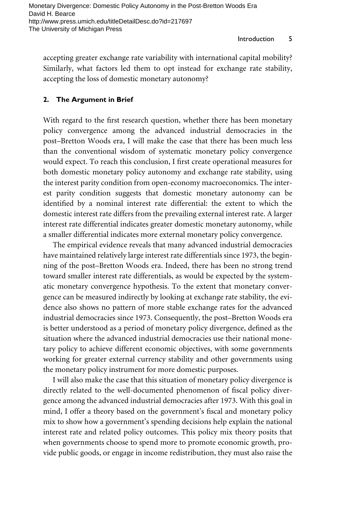accepting greater exchange rate variability with international capital mobility? Similarly, what factors led them to opt instead for exchange rate stability, accepting the loss of domestic monetary autonomy?

## **2. The Argument in Brief**

With regard to the first research question, whether there has been monetary policy convergence among the advanced industrial democracies in the post–Bretton Woods era, I will make the case that there has been much less than the conventional wisdom of systematic monetary policy convergence would expect. To reach this conclusion, I first create operational measures for both domestic monetary policy autonomy and exchange rate stability, using the interest parity condition from open-economy macroeconomics. The interest parity condition suggests that domestic monetary autonomy can be identified by a nominal interest rate differential: the extent to which the domestic interest rate differs from the prevailing external interest rate. A larger interest rate differential indicates greater domestic monetary autonomy, while a smaller differential indicates more external monetary policy convergence.

The empirical evidence reveals that many advanced industrial democracies have maintained relatively large interest rate differentials since 1973, the beginning of the post–Bretton Woods era. Indeed, there has been no strong trend toward smaller interest rate differentials, as would be expected by the systematic monetary convergence hypothesis. To the extent that monetary convergence can be measured indirectly by looking at exchange rate stability, the evidence also shows no pattern of more stable exchange rates for the advanced industrial democracies since 1973. Consequently, the post–Bretton Woods era is better understood as a period of monetary policy divergence, defined as the situation where the advanced industrial democracies use their national monetary policy to achieve different economic objectives, with some governments working for greater external currency stability and other governments using the monetary policy instrument for more domestic purposes.

I will also make the case that this situation of monetary policy divergence is directly related to the well-documented phenomenon of fiscal policy divergence among the advanced industrial democracies after 1973. With this goal in mind, I offer a theory based on the government's fiscal and monetary policy mix to show how a government's spending decisions help explain the national interest rate and related policy outcomes. This policy mix theory posits that when governments choose to spend more to promote economic growth, provide public goods, or engage in income redistribution, they must also raise the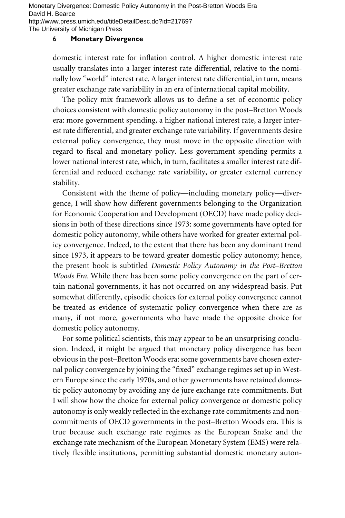## 6 **Monetary Divergence**

domestic interest rate for inflation control. A higher domestic interest rate usually translates into a larger interest rate differential, relative to the nominally low "world" interest rate. A larger interest rate differential, in turn, means greater exchange rate variability in an era of international capital mobility.

The policy mix framework allows us to define a set of economic policy choices consistent with domestic policy autonomy in the post–Bretton Woods era: more government spending, a higher national interest rate, a larger interest rate differential, and greater exchange rate variability. If governments desire external policy convergence, they must move in the opposite direction with regard to fiscal and monetary policy. Less government spending permits a lower national interest rate, which, in turn, facilitates a smaller interest rate differential and reduced exchange rate variability, or greater external currency stability.

Consistent with the theme of policy—including monetary policy—divergence, I will show how different governments belonging to the Organization for Economic Cooperation and Development (OECD) have made policy decisions in both of these directions since 1973: some governments have opted for domestic policy autonomy, while others have worked for greater external policy convergence. Indeed, to the extent that there has been any dominant trend since 1973, it appears to be toward greater domestic policy autonomy; hence, the present book is subtitled *Domestic Policy Autonomy in the Post–Bretton Woods Era.* While there has been some policy convergence on the part of certain national governments, it has not occurred on any widespread basis. Put somewhat differently, episodic choices for external policy convergence cannot be treated as evidence of systematic policy convergence when there are as many, if not more, governments who have made the opposite choice for domestic policy autonomy.

For some political scientists, this may appear to be an unsurprising conclusion. Indeed, it might be argued that monetary policy divergence has been obvious in the post–Bretton Woods era: some governments have chosen external policy convergence by joining the "fixed" exchange regimes set up in Western Europe since the early 1970s, and other governments have retained domestic policy autonomy by avoiding any de jure exchange rate commitments. But I will show how the choice for external policy convergence or domestic policy autonomy is only weakly reflected in the exchange rate commitments and noncommitments of OECD governments in the post–Bretton Woods era. This is true because such exchange rate regimes as the European Snake and the exchange rate mechanism of the European Monetary System (EMS) were relatively flexible institutions, permitting substantial domestic monetary auton-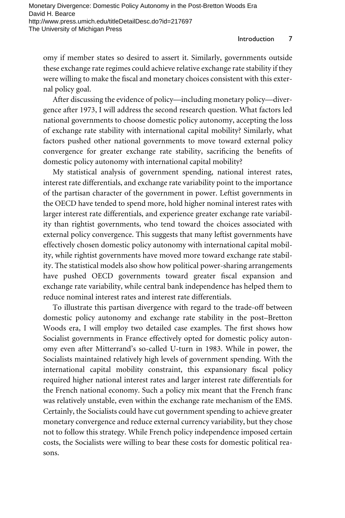### Introduction 7

omy if member states so desired to assert it. Similarly, governments outside these exchange rate regimes could achieve relative exchange rate stability if they were willing to make the fiscal and monetary choices consistent with this external policy goal.

After discussing the evidence of policy—including monetary policy—divergence after 1973, I will address the second research question. What factors led national governments to choose domestic policy autonomy, accepting the loss of exchange rate stability with international capital mobility? Similarly, what factors pushed other national governments to move toward external policy convergence for greater exchange rate stability, sacrificing the benefits of domestic policy autonomy with international capital mobility?

My statistical analysis of government spending, national interest rates, interest rate differentials, and exchange rate variability point to the importance of the partisan character of the government in power. Leftist governments in the OECD have tended to spend more, hold higher nominal interest rates with larger interest rate differentials, and experience greater exchange rate variability than rightist governments, who tend toward the choices associated with external policy convergence. This suggests that many leftist governments have effectively chosen domestic policy autonomy with international capital mobility, while rightist governments have moved more toward exchange rate stability. The statistical models also show how political power-sharing arrangements have pushed OECD governments toward greater fiscal expansion and exchange rate variability, while central bank independence has helped them to reduce nominal interest rates and interest rate differentials.

To illustrate this partisan divergence with regard to the trade-off between domestic policy autonomy and exchange rate stability in the post–Bretton Woods era, I will employ two detailed case examples. The first shows how Socialist governments in France effectively opted for domestic policy autonomy even after Mitterrand's so-called U-turn in 1983. While in power, the Socialists maintained relatively high levels of government spending. With the international capital mobility constraint, this expansionary fiscal policy required higher national interest rates and larger interest rate differentials for the French national economy. Such a policy mix meant that the French franc was relatively unstable, even within the exchange rate mechanism of the EMS. Certainly, the Socialists could have cut government spending to achieve greater monetary convergence and reduce external currency variability, but they chose not to follow this strategy. While French policy independence imposed certain costs, the Socialists were willing to bear these costs for domestic political reasons.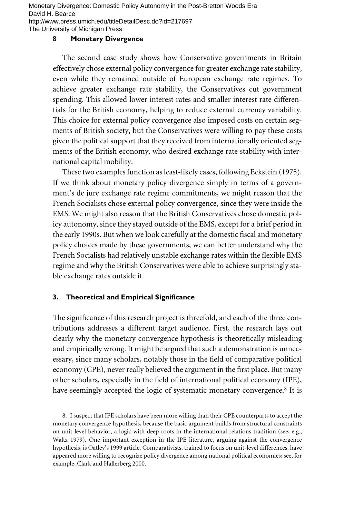## 8 **Monetary Divergence**

The second case study shows how Conservative governments in Britain effectively chose external policy convergence for greater exchange rate stability, even while they remained outside of European exchange rate regimes. To achieve greater exchange rate stability, the Conservatives cut government spending. This allowed lower interest rates and smaller interest rate differentials for the British economy, helping to reduce external currency variability. This choice for external policy convergence also imposed costs on certain segments of British society, but the Conservatives were willing to pay these costs given the political support that they received from internationally oriented segments of the British economy, who desired exchange rate stability with international capital mobility.

These two examples function as least-likely cases, following Eckstein (1975). If we think about monetary policy divergence simply in terms of a government's de jure exchange rate regime commitments, we might reason that the French Socialists chose external policy convergence, since they were inside the EMS. We might also reason that the British Conservatives chose domestic policy autonomy, since they stayed outside of the EMS, except for a brief period in the early 1990s. But when we look carefully at the domestic fiscal and monetary policy choices made by these governments, we can better understand why the French Socialists had relatively unstable exchange rates within the flexible EMS regime and why the British Conservatives were able to achieve surprisingly stable exchange rates outside it.

#### **3. Theoretical and Empirical Significance**

The significance of this research project is threefold, and each of the three contributions addresses a different target audience. First, the research lays out clearly why the monetary convergence hypothesis is theoretically misleading and empirically wrong. It might be argued that such a demonstration is unnecessary, since many scholars, notably those in the field of comparative political economy (CPE), never really believed the argument in the first place. But many other scholars, especially in the field of international political economy (IPE), have seemingly accepted the logic of systematic monetary convergence.<sup>8</sup> It is

8. I suspect that IPE scholars have been more willing than their CPE counterparts to accept the monetary convergence hypothesis, because the basic argument builds from structural constraints on unit-level behavior, a logic with deep roots in the international relations tradition (see, e.g., Waltz 1979). One important exception in the IPE literature, arguing against the convergence hypothesis, is Oatley's 1999 article. Comparativists, trained to focus on unit-level differences, have appeared more willing to recognize policy divergence among national political economies; see, for example, Clark and Hallerberg 2000.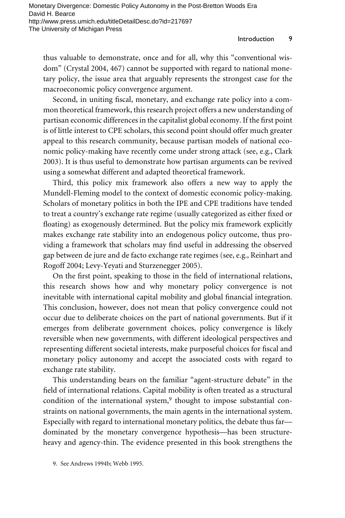thus valuable to demonstrate, once and for all, why this "conventional wisdom" (Crystal 2004, 467) cannot be supported with regard to national monetary policy, the issue area that arguably represents the strongest case for the macroeconomic policy convergence argument.

Second, in uniting fiscal, monetary, and exchange rate policy into a common theoretical framework, this research project offers a new understanding of partisan economic differences in the capitalist global economy. If the first point is of little interest to CPE scholars, this second point should offer much greater appeal to this research community, because partisan models of national economic policy-making have recently come under strong attack (see, e.g., Clark 2003). It is thus useful to demonstrate how partisan arguments can be revived using a somewhat different and adapted theoretical framework.

Third, this policy mix framework also offers a new way to apply the Mundell-Fleming model to the context of domestic economic policy-making. Scholars of monetary politics in both the IPE and CPE traditions have tended to treat a country's exchange rate regime (usually categorized as either fixed or floating) as exogenously determined. But the policy mix framework explicitly makes exchange rate stability into an endogenous policy outcome, thus providing a framework that scholars may find useful in addressing the observed gap between de jure and de facto exchange rate regimes (see, e.g., Reinhart and Rogoff 2004; Levy-Yeyati and Sturzenegger 2005).

On the first point, speaking to those in the field of international relations, this research shows how and why monetary policy convergence is not inevitable with international capital mobility and global financial integration. This conclusion, however, does not mean that policy convergence could not occur due to deliberate choices on the part of national governments. But if it emerges from deliberate government choices, policy convergence is likely reversible when new governments, with different ideological perspectives and representing different societal interests, make purposeful choices for fiscal and monetary policy autonomy and accept the associated costs with regard to exchange rate stability.

This understanding bears on the familiar "agent-structure debate" in the field of international relations. Capital mobility is often treated as a structural condition of the international system,<sup>9</sup> thought to impose substantial constraints on national governments, the main agents in the international system. Especially with regard to international monetary politics, the debate thus far dominated by the monetary convergence hypothesis—has been structureheavy and agency-thin. The evidence presented in this book strengthens the

9. See Andrews 1994b; Webb 1995.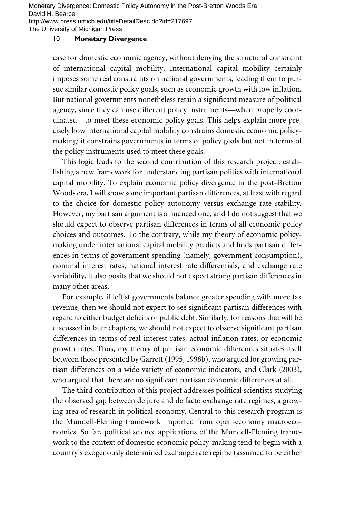# 10 **Monetary Divergence**

case for domestic economic agency, without denying the structural constraint of international capital mobility. International capital mobility certainly imposes some real constraints on national governments, leading them to pursue similar domestic policy goals, such as economic growth with low inflation. But national governments nonetheless retain a significant measure of political agency, since they can use different policy instruments—when properly coordinated—to meet these economic policy goals. This helps explain more precisely how international capital mobility constrains domestic economic policymaking: it constrains governments in terms of policy goals but not in terms of the policy instruments used to meet these goals.

This logic leads to the second contribution of this research project: establishing a new framework for understanding partisan politics with international capital mobility. To explain economic policy divergence in the post–Bretton Woods era, I will show some important partisan differences, at least with regard to the choice for domestic policy autonomy versus exchange rate stability. However, my partisan argument is a nuanced one, and I do not suggest that we should expect to observe partisan differences in terms of all economic policy choices and outcomes. To the contrary, while my theory of economic policymaking under international capital mobility predicts and finds partisan differences in terms of government spending (namely, government consumption), nominal interest rates, national interest rate differentials, and exchange rate variability, it also posits that we should not expect strong partisan differences in many other areas.

For example, if leftist governments balance greater spending with more tax revenue, then we should not expect to see significant partisan differences with regard to either budget deficits or public debt. Similarly, for reasons that will be discussed in later chapters, we should not expect to observe significant partisan differences in terms of real interest rates, actual inflation rates, or economic growth rates. Thus, my theory of partisan economic differences situates itself between those presented by Garrett (1995, 1998b), who argued for growing partisan differences on a wide variety of economic indicators, and Clark (2003), who argued that there are no significant partisan economic differences at all.

The third contribution of this project addresses political scientists studying the observed gap between de jure and de facto exchange rate regimes, a growing area of research in political economy. Central to this research program is the Mundell-Fleming framework imported from open-economy macroeconomics. So far, political science applications of the Mundell-Fleming framework to the context of domestic economic policy-making tend to begin with a country's exogenously determined exchange rate regime (assumed to be either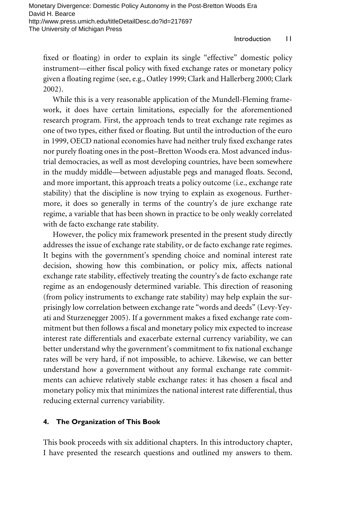fixed or floating) in order to explain its single "effective" domestic policy instrument—either fiscal policy with fixed exchange rates or monetary policy given a floating regime (see, e.g., Oatley 1999; Clark and Hallerberg 2000; Clark 2002).

While this is a very reasonable application of the Mundell-Fleming framework, it does have certain limitations, especially for the aforementioned research program. First, the approach tends to treat exchange rate regimes as one of two types, either fixed or floating. But until the introduction of the euro in 1999, OECD national economies have had neither truly fixed exchange rates nor purely floating ones in the post-Bretton Woods era. Most advanced industrial democracies, as well as most developing countries, have been somewhere in the muddy middle—between adjustable pegs and managed floats. Second, and more important, this approach treats a policy outcome (i.e., exchange rate stability) that the discipline is now trying to explain as exogenous. Furthermore, it does so generally in terms of the country's de jure exchange rate regime, a variable that has been shown in practice to be only weakly correlated with de facto exchange rate stability.

However, the policy mix framework presented in the present study directly addresses the issue of exchange rate stability, or de facto exchange rate regimes. It begins with the government's spending choice and nominal interest rate decision, showing how this combination, or policy mix, affects national exchange rate stability, effectively treating the country's de facto exchange rate regime as an endogenously determined variable. This direction of reasoning (from policy instruments to exchange rate stability) may help explain the surprisingly low correlation between exchange rate "words and deeds" (Levy-Yeyati and Sturzenegger 2005). If a government makes a fixed exchange rate commitment but then follows a fiscal and monetary policy mix expected to increase interest rate differentials and exacerbate external currency variability, we can better understand why the government's commitment to fix national exchange rates will be very hard, if not impossible, to achieve. Likewise, we can better understand how a government without any formal exchange rate commitments can achieve relatively stable exchange rates: it has chosen a fiscal and monetary policy mix that minimizes the national interest rate differential, thus reducing external currency variability.

#### **4. The Organization of This Book**

This book proceeds with six additional chapters. In this introductory chapter, I have presented the research questions and outlined my answers to them.